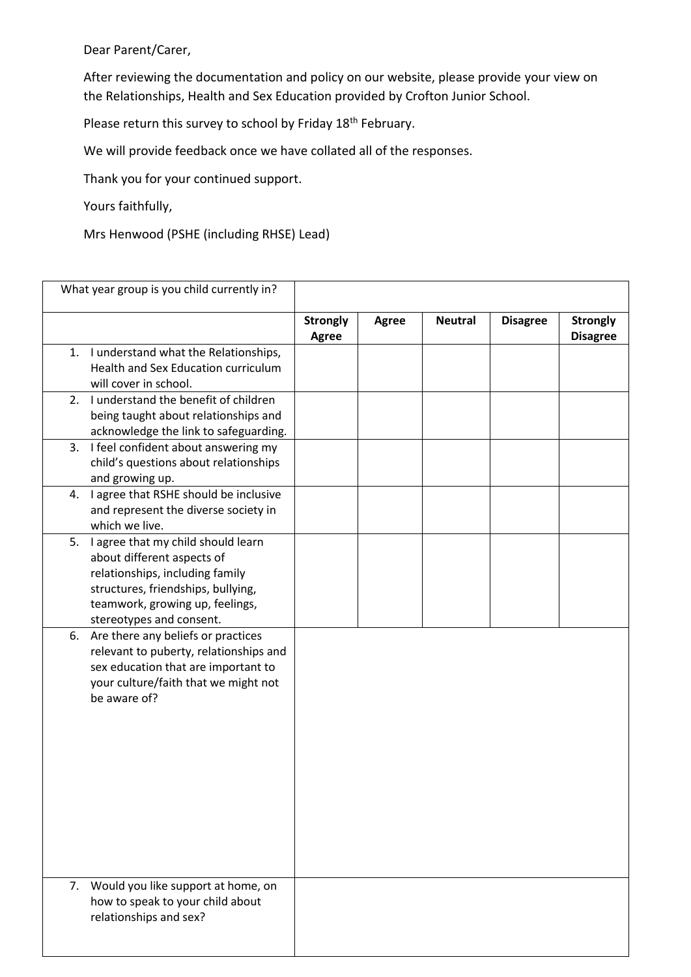Dear Parent/Carer,

After reviewing the documentation and policy on our website, please provide your view on the Relationships, Health and Sex Education provided by Crofton Junior School.

Please return this survey to school by Friday 18<sup>th</sup> February.

We will provide feedback once we have collated all of the responses.

Thank you for your continued support.

Yours faithfully,

Mrs Henwood (PSHE (including RHSE) Lead)

| What year group is you child currently in? |                                                                                                                                                                                                          |                          |              |                |                 |                                    |
|--------------------------------------------|----------------------------------------------------------------------------------------------------------------------------------------------------------------------------------------------------------|--------------------------|--------------|----------------|-----------------|------------------------------------|
|                                            |                                                                                                                                                                                                          | <b>Strongly</b><br>Agree | <b>Agree</b> | <b>Neutral</b> | <b>Disagree</b> | <b>Strongly</b><br><b>Disagree</b> |
|                                            | 1. I understand what the Relationships,<br>Health and Sex Education curriculum<br>will cover in school.<br>2. I understand the benefit of children                                                       |                          |              |                |                 |                                    |
|                                            | being taught about relationships and<br>acknowledge the link to safeguarding.                                                                                                                            |                          |              |                |                 |                                    |
| 3.                                         | I feel confident about answering my<br>child's questions about relationships<br>and growing up.                                                                                                          |                          |              |                |                 |                                    |
| 4.                                         | I agree that RSHE should be inclusive<br>and represent the diverse society in<br>which we live.                                                                                                          |                          |              |                |                 |                                    |
| 5.                                         | I agree that my child should learn<br>about different aspects of<br>relationships, including family<br>structures, friendships, bullying,<br>teamwork, growing up, feelings,<br>stereotypes and consent. |                          |              |                |                 |                                    |
| 6.                                         | Are there any beliefs or practices<br>relevant to puberty, relationships and<br>sex education that are important to<br>your culture/faith that we might not<br>be aware of?                              |                          |              |                |                 |                                    |
|                                            | 7. Would you like support at home, on<br>how to speak to your child about<br>relationships and sex?                                                                                                      |                          |              |                |                 |                                    |